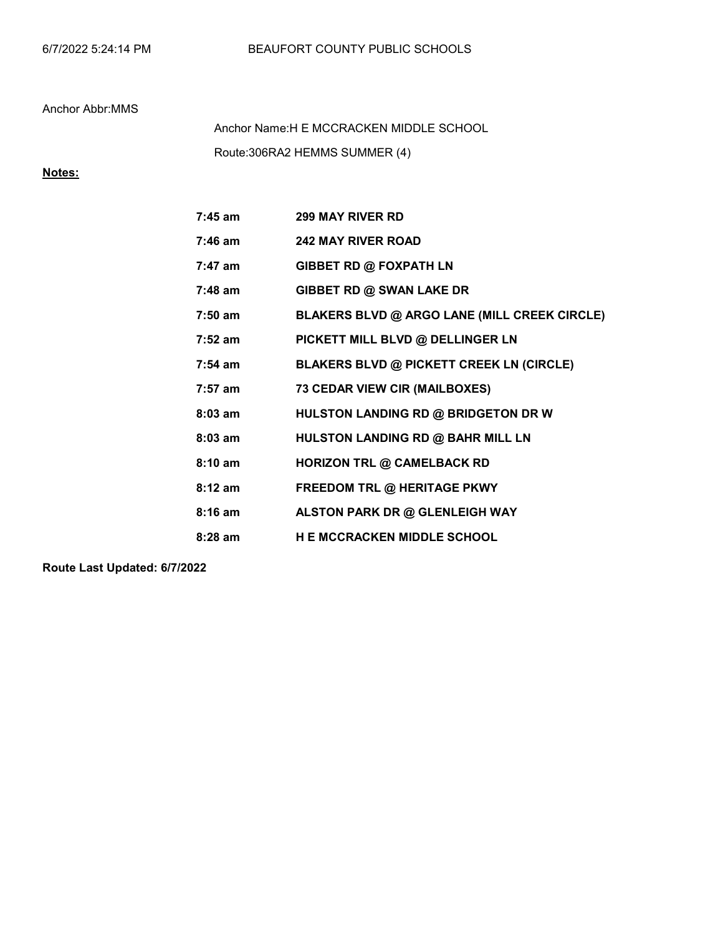Route:306RA2 HEMMS SUMMER (4) Anchor Name:H E MCCRACKEN MIDDLE SCHOOL

# Notes:

| $7:45$ am         | <b>299 MAY RIVER RD</b>                         |
|-------------------|-------------------------------------------------|
| $7:46$ am         | <b>242 MAY RIVER ROAD</b>                       |
| $7:47$ am         | <b>GIBBET RD @ FOXPATH LN</b>                   |
| $7:48$ am         | GIBBET RD @ SWAN LAKE DR                        |
| $7:50$ am         | BLAKERS BLVD @ ARGO LANE (MILL CREEK CIRCLE)    |
| $7:52$ am         | PICKETT MILL BLVD @ DELLINGER LN                |
| $7:54 \text{ am}$ | <b>BLAKERS BLVD @ PICKETT CREEK LN (CIRCLE)</b> |
| $7:57$ am         | <b>73 CEDAR VIEW CIR (MAILBOXES)</b>            |
| $8:03$ am         | HULSTON LANDING RD @ BRIDGETON DR W             |
| $8:03$ am         | HULSTON LANDING RD @ BAHR MILL LN               |
| $8:10$ am         | <b>HORIZON TRL @ CAMELBACK RD</b>               |
| $8:12$ am         | <b>FREEDOM TRL @ HERITAGE PKWY</b>              |
| $8:16$ am         | ALSTON PARK DR @ GLENLEIGH WAY                  |
| $8:28$ am         | <b>H E MCCRACKEN MIDDLE SCHOOL</b>              |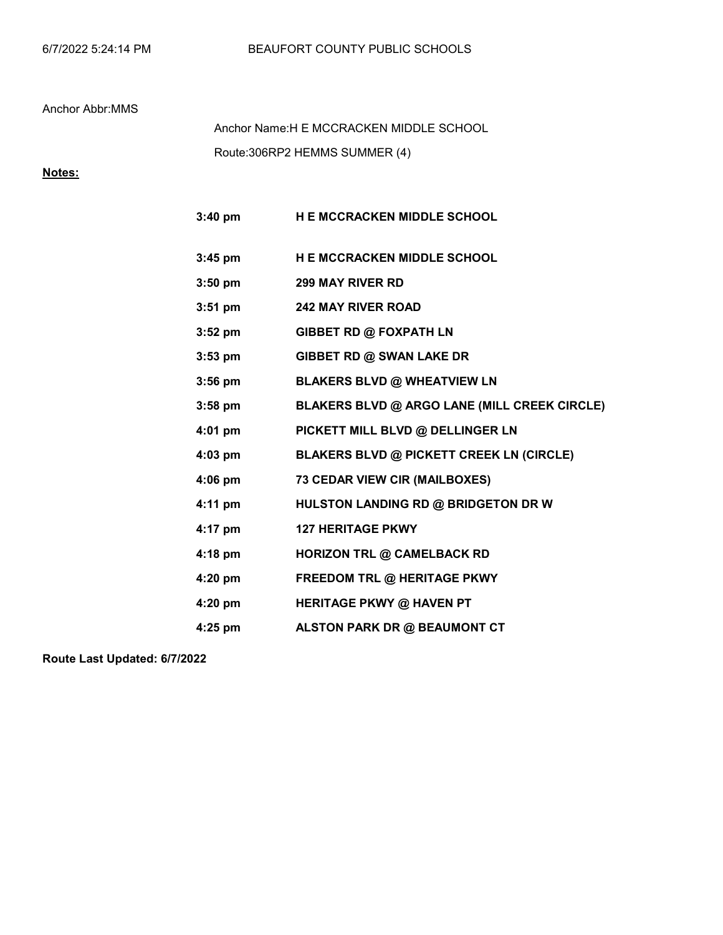Route:306RP2 HEMMS SUMMER (4) Anchor Name:H E MCCRACKEN MIDDLE SCHOOL

# Notes:

| $3:40$ pm | <b>H E MCCRACKEN MIDDLE SCHOOL</b>              |
|-----------|-------------------------------------------------|
| $3:45$ pm | <b>HE MCCRACKEN MIDDLE SCHOOL</b>               |
| $3:50$ pm | <b>299 MAY RIVER RD</b>                         |
| $3:51$ pm | <b>242 MAY RIVER ROAD</b>                       |
| $3:52$ pm | <b>GIBBET RD @ FOXPATH LN</b>                   |
| $3:53$ pm | GIBBET RD @ SWAN LAKE DR                        |
| $3:56$ pm | <b>BLAKERS BLVD @ WHEATVIEW LN</b>              |
| $3:58$ pm | BLAKERS BLVD @ ARGO LANE (MILL CREEK CIRCLE)    |
| 4:01 pm   | PICKETT MILL BLVD @ DELLINGER LN                |
| 4:03 pm   | <b>BLAKERS BLVD @ PICKETT CREEK LN (CIRCLE)</b> |
| $4:06$ pm | <b>73 CEDAR VIEW CIR (MAILBOXES)</b>            |
| $4:11$ pm | HULSTON LANDING RD @ BRIDGETON DR W             |
| 4:17 pm   | <b>127 HERITAGE PKWY</b>                        |
| $4:18$ pm | <b>HORIZON TRL @ CAMELBACK RD</b>               |
| 4:20 pm   | FREEDOM TRL @ HERITAGE PKWY                     |
| 4:20 pm   | <b>HERITAGE PKWY @ HAVEN PT</b>                 |
| 4:25 pm   | ALSTON PARK DR @ BEAUMONT CT                    |
|           |                                                 |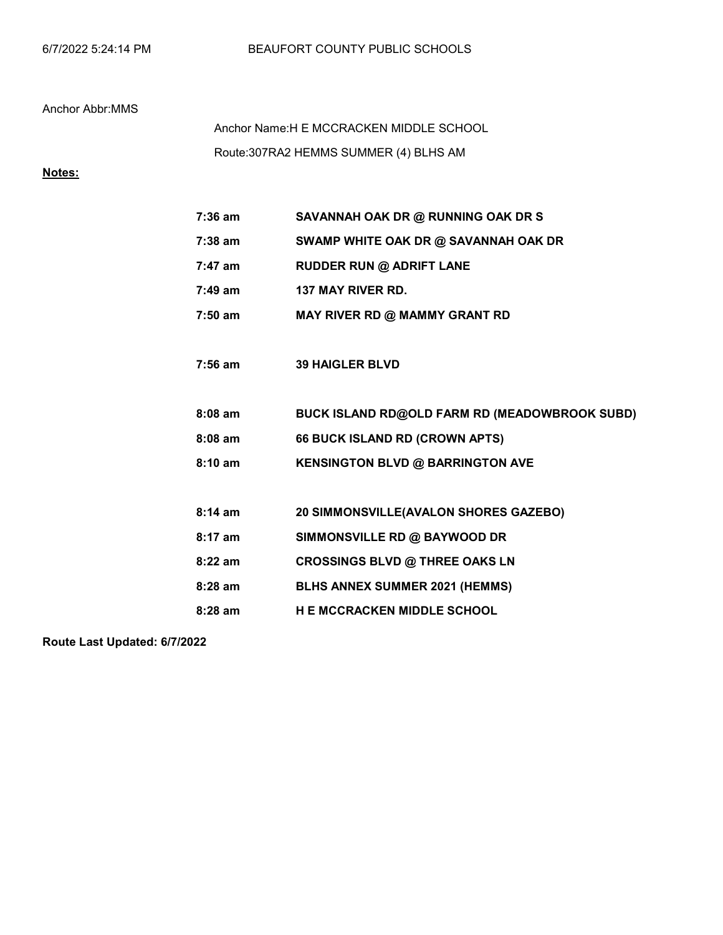# Route:307RA2 HEMMS SUMMER (4) BLHS AM Anchor Name:H E MCCRACKEN MIDDLE SCHOOL

# Notes:

| $7:36$ am         | SAVANNAH OAK DR @ RUNNING OAK DR S            |
|-------------------|-----------------------------------------------|
| $7:38$ am         | SWAMP WHITE OAK DR @ SAVANNAH OAK DR          |
| $7:47$ am         | <b>RUDDER RUN @ ADRIFT LANE</b>               |
| 7:49 am           | <b>137 MAY RIVER RD.</b>                      |
| 7:50 am           | MAY RIVER RD @ MAMMY GRANT RD                 |
|                   |                                               |
| $7:56$ am         | <b>39 HAIGLER BLVD</b>                        |
|                   |                                               |
| $8:08$ am         | BUCK ISLAND RD@OLD FARM RD (MEADOWBROOK SUBD) |
| $8:08$ am         | 66 BUCK ISLAND RD (CROWN APTS)                |
| $8:10 \text{ am}$ | <b>KENSINGTON BLVD @ BARRINGTON AVE</b>       |
|                   |                                               |
| $8:14 \text{ am}$ | 20 SIMMONSVILLE(AVALON SHORES GAZEBO)         |
| $8:17$ am         | SIMMONSVILLE RD @ BAYWOOD DR                  |
| $8:22$ am         | <b>CROSSINGS BLVD @ THREE OAKS LN</b>         |
| $8:28$ am         | <b>BLHS ANNEX SUMMER 2021 (HEMMS)</b>         |
| $8:28$ am         | <b>HE MCCRACKEN MIDDLE SCHOOL</b>             |